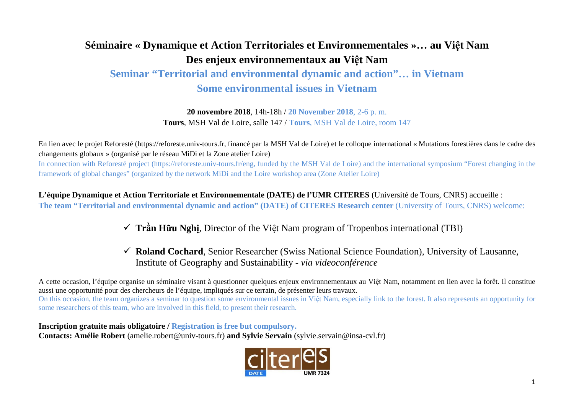# **Séminaire « Dynamique et Action Territoriales et Environnementales »… au Việt Nam Des enjeux environnementaux au Việt Nam**

## **Seminar "Territorial and environmental dynamic and action"… in Vietnam Some environmental issues in Vietnam**

**20 novembre 2018**, 14h-18h / **20 November 2018**, 2-6 p. m. **Tours**, MSH Val de Loire, salle 147 / **Tours**, MSH Val de Loire, room 147

En lien avec le projet Reforesté (https://reforeste.univ-tours.fr, financé par la MSH Val de Loire) et le colloque international « Mutations forestières dans le cadre des changements globaux » (organisé par le réseau MiDi et la Zone atelier Loire)

In connection with Reforesté project (https://reforeste.univ-tours.fr/eng, funded by the MSH Val de Loire) and the international symposium "Forest changing in the framework of global changes" (organized by the network MiDi and the Loire workshop area (Zone Atelier Loire)

**L'équipe Dynamique et Action Territoriale et Environnementale (DATE) de l'UMR CITERES** (Université de Tours, CNRS) accueille : **The team "Territorial and environmental dynamic and action" (DATE) of CITERES Research center** (University of Tours, CNRS) welcome:

### **Trần Hữu Nghị**, Director of the Việt Nam program of Tropenbos international (TBI)

 **Roland Cochard**, Senior Researcher (Swiss National Science Foundation), University of Lausanne, Institute of Geography and Sustainability - *via videoconférence*

A cette occasion, l'équipe organise un séminaire visant à questionner quelques enjeux environnementaux au Việt Nam, notamment en lien avec la forêt. Il constitue aussi une opportunité pour des chercheurs de l'équipe, impliqués sur ce terrain, de présenter leurs travaux. On this occasion, the team organizes a seminar to question some environmental issues in Việt Nam, especially link to the forest. It also represents an opportunity for some researchers of this team, who are involved in this field, to present their research.

**Inscription gratuite mais obligatoire / Registration is free but compulsory. Contacts: Amélie Robert** (amelie.robert@univ-tours.fr) **and Sylvie Servain** (sylvie.servain@insa-cvl.fr)

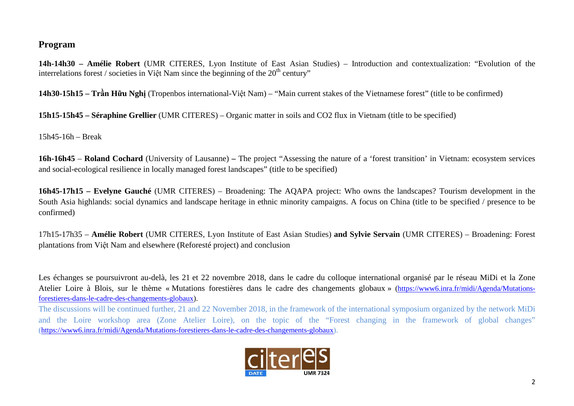#### **Program**

**14h-14h30 – Amélie Robert** (UMR CITERES, Lyon Institute of East Asian Studies) – Introduction and contextualization: "Evolution of the interrelations forest / societies in Việt Nam since the beginning of the  $20<sup>th</sup>$  century"

**14h30-15h15 – Trần Hữu Nghị** (Tropenbos international-Việt Nam) – "Main current stakes of the Vietnamese forest" (title to be confirmed)

**15h15-15h45 – Séraphine Grellier** (UMR CITERES) – Organic matter in soils and CO2 flux in Vietnam (title to be specified)

15h45-16h – Break

**16h-16h45** – **Roland Cochard** (University of Lausanne) **–** The project "Assessing the nature of a 'forest transition' in Vietnam: ecosystem services and social-ecological resilience in locally managed forest landscapes" (title to be specified)

**16h45-17h15 – Evelyne Gauché** (UMR CITERES) – Broadening: The AQAPA project: Who owns the landscapes? Tourism development in the South Asia highlands: social dynamics and landscape heritage in ethnic minority campaigns. A focus on China (title to be specified / presence to be confirmed)

17h15-17h35 – **Amélie Robert** (UMR CITERES, Lyon Institute of East Asian Studies) **and Sylvie Servain** (UMR CITERES) – Broadening: Forest plantations from Việt Nam and elsewhere (Reforesté project) and conclusion

Les échanges se poursuivront au-delà, les 21 et 22 novembre 2018, dans le cadre du colloque international organisé par le réseau MiDi et la Zone Atelier Loire à Blois, sur le thème « Mutations forestières dans le cadre des changements globaux » [\(https://www6.inra.fr/midi/Agenda/Mutations](https://www6.inra.fr/midi/Agenda/Mutations-forestieres-dans-le-cadre-des-changements-globaux)[forestieres-dans-le-cadre-des-changements-globaux\)](https://www6.inra.fr/midi/Agenda/Mutations-forestieres-dans-le-cadre-des-changements-globaux).

The discussions will be continued further, 21 and 22 November 2018, in the framework of the international symposium organized by the network MiDi and the Loire workshop area (Zone Atelier Loire), on the topic of the "Forest changing in the framework of global changes" [\(https://www6.inra.fr/midi/Agenda/Mutations-forestieres-dans-le-cadre-des-changements-globaux\)](https://www6.inra.fr/midi/Agenda/Mutations-forestieres-dans-le-cadre-des-changements-globaux).

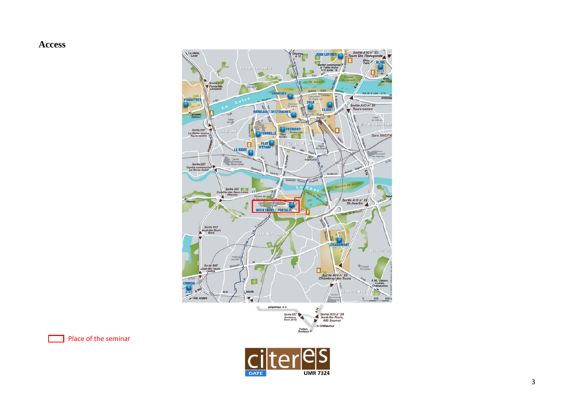#### **Access**



Place of the seminar